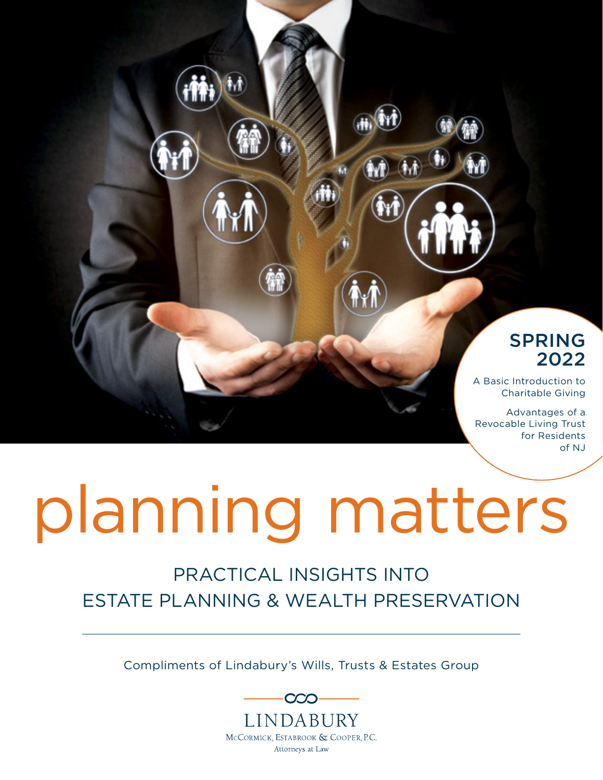#### SPRING 2022

A Basic Introduction to Charitable Giving

Advantages of a Revocable Living Trust for Residents of NJ

# planning matters

#### PRACTICAL INSIGHTS INTO ESTATE PLANNING & WEALTH PRESERVATION

Compliments of Lindabury's Wills, Trusts & Estates Group

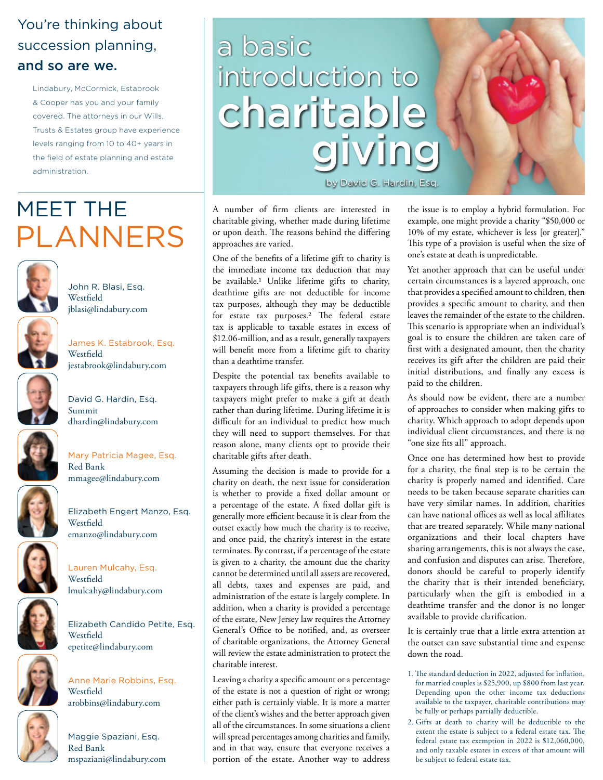#### You're thinking about succession planning, and so are we.

Lindabury, McCormick, Estabrook & Cooper has you and your family covered. The attorneys in our Wills, Trusts & Estates group have experience levels ranging from 10 to 40+ years in the field of estate planning and estate administration.

### PLANNERS MEET THE



John R. Blasi, Esq. **Westfield** jblasi@lindabury.com



James K. Estabrook, Esq. Westfield jestabrook@lindabury.com



David G. Hardin, Esq. Summit dhardin@lindabury.com



Mary Patricia Magee, Esq. Red Bank mmagee@lindabury.com



Lauren Mulcahy, Esq. Westfield lmulcahy@lindabury.com







Maggie Spaziani, Esq. Red Bank mspaziani@lindabury.com

arobbins@lindabury.com

epetite@lindabury.com

Westfield

**Westfield** 

Anne Marie Robbins, Esq.

Elizabeth Candido Petite, Esq.

## a basic introduction to charitable giving

by David G. Hardin, Esq.

A number of firm clients are interested in charitable giving, whether made during lifetime or upon death. The reasons behind the differing approaches are varied.

One of the benefits of a lifetime gift to charity is the immediate income tax deduction that may be available.1 Unlike lifetime gifts to charity, deathtime gifts are not deductible for income tax purposes, although they may be deductible for estate tax purposes.2 The federal estate tax is applicable to taxable estates in excess of \$12.06-million, and as a result, generally taxpayers will benefit more from a lifetime gift to charity than a deathtime transfer.

Despite the potential tax benefits available to taxpayers through life gifts, there is a reason why taxpayers might prefer to make a gift at death rather than during lifetime. During lifetime it is difficult for an individual to predict how much they will need to support themselves. For that reason alone, many clients opt to provide their charitable gifts after death.

Assuming the decision is made to provide for a charity on death, the next issue for consideration is whether to provide a fixed dollar amount or a percentage of the estate. A fixed dollar gift is generally more efficient because it is clear from the outset exactly how much the charity is to receive, and once paid, the charity's interest in the estate terminates. By contrast, if a percentage of the estate is given to a charity, the amount due the charity cannot be determined until all assets are recovered, all debts, taxes and expenses are paid, and administration of the estate is largely complete. In addition, when a charity is provided a percentage of the estate, New Jersey law requires the Attorney General's Office to be notified, and, as overseer of charitable organizations, the Attorney General will review the estate administration to protect the charitable interest.

Leaving a charity a specific amount or a percentage of the estate is not a question of right or wrong; either path is certainly viable. It is more a matter of the client's wishes and the better approach given all of the circumstances. In some situations a client will spread percentages among charities and family, and in that way, ensure that everyone receives a portion of the estate. Another way to address

the issue is to employ a hybrid formulation. For example, one might provide a charity "\$50,000 or 10% of my estate, whichever is less [or greater]." This type of a provision is useful when the size of one's estate at death is unpredictable.

Yet another approach that can be useful under certain circumstances is a layered approach, one that provides a specified amount to children, then provides a specific amount to charity, and then leaves the remainder of the estate to the children. This scenario is appropriate when an individual's goal is to ensure the children are taken care of first with a designated amount, then the charity receives its gift after the children are paid their initial distributions, and finally any excess is paid to the children.

As should now be evident, there are a number of approaches to consider when making gifts to charity. Which approach to adopt depends upon individual client circumstances, and there is no "one size fits all" approach.

Once one has determined how best to provide for a charity, the final step is to be certain the charity is properly named and identified. Care needs to be taken because separate charities can have very similar names. In addition, charities can have national offices as well as local affiliates that are treated separately. While many national organizations and their local chapters have sharing arrangements, this is not always the case, and confusion and disputes can arise. Therefore, donors should be careful to properly identify the charity that is their intended beneficiary, particularly when the gift is embodied in a deathtime transfer and the donor is no longer available to provide clarification.

It is certainly true that a little extra attention at the outset can save substantial time and expense down the road.

- 1. The standard deduction in 2022, adjusted for inflation, for married couples is \$25,900, up \$800 from last year. Depending upon the other income tax deductions available to the taxpayer, charitable contributions may be fully or perhaps partially deductible.
- 2. Gifts at death to charity will be deductible to the extent the estate is subject to a federal estate tax. The federal estate tax exemption in 2022 is \$12,060,000, and only taxable estates in excess of that amount will be subject to federal estate tax.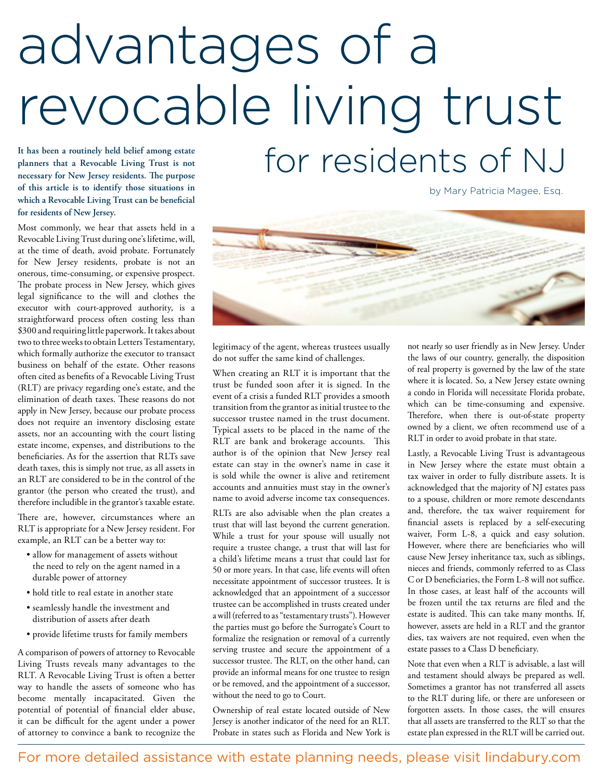## **It has been a routinely held belief among estate**  advantages of a revocable living trust for residents of NJ

**planners that a Revocable Living Trust is not necessary for New Jersey residents. The purpose of this article is to identify those situations in which a Revocable Living Trust can be beneficial for residents of New Jersey.**

Most commonly, we hear that assets held in a Revocable Living Trust during one's lifetime, will, at the time of death, avoid probate. Fortunately for New Jersey residents, probate is not an onerous, time-consuming, or expensive prospect. The probate process in New Jersey, which gives legal significance to the will and clothes the executor with court-approved authority, is a straightforward process often costing less than \$300 and requiring little paperwork. It takes about two to three weeks to obtain Letters Testamentary, which formally authorize the executor to transact business on behalf of the estate. Other reasons often cited as benefits of a Revocable Living Trust (RLT) are privacy regarding one's estate, and the elimination of death taxes. These reasons do not apply in New Jersey, because our probate process does not require an inventory disclosing estate assets, nor an accounting with the court listing estate income, expenses, and distributions to the beneficiaries. As for the assertion that RLTs save death taxes, this is simply not true, as all assets in an RLT are considered to be in the control of the grantor (the person who created the trust), and therefore includible in the grantor's taxable estate.

There are, however, circumstances where an RLT is appropriate for a New Jersey resident. For example, an RLT can be a better way to:

- allow for management of assets without the need to rely on the agent named in a durable power of attorney
- hold title to real estate in another state
- seamlessly handle the investment and distribution of assets after death
- provide lifetime trusts for family members

A comparison of powers of attorney to Revocable Living Trusts reveals many advantages to the RLT. A Revocable Living Trust is often a better way to handle the assets of someone who has become mentally incapacitated. Given the potential of potential of financial elder abuse, it can be difficult for the agent under a power of attorney to convince a bank to recognize the by Mary Patricia Magee, Esq.



legitimacy of the agent, whereas trustees usually do not suffer the same kind of challenges.

When creating an RLT it is important that the trust be funded soon after it is signed. In the event of a crisis a funded RLT provides a smooth transition from the grantor as initial trustee to the successor trustee named in the trust document. Typical assets to be placed in the name of the RLT are bank and brokerage accounts. This author is of the opinion that New Jersey real estate can stay in the owner's name in case it is sold while the owner is alive and retirement accounts and annuities must stay in the owner's name to avoid adverse income tax consequences.

RLTs are also advisable when the plan creates a trust that will last beyond the current generation. While a trust for your spouse will usually not require a trustee change, a trust that will last for a child's lifetime means a trust that could last for 50 or more years. In that case, life events will often necessitate appointment of successor trustees. It is acknowledged that an appointment of a successor trustee can be accomplished in trusts created under a will (referred to as "testamentary trusts"). However the parties must go before the Surrogate's Court to formalize the resignation or removal of a currently serving trustee and secure the appointment of a successor trustee. The RLT, on the other hand, can provide an informal means for one trustee to resign or be removed, and the appointment of a successor, without the need to go to Court.

Ownership of real estate located outside of New Jersey is another indicator of the need for an RLT. Probate in states such as Florida and New York is not nearly so user friendly as in New Jersey. Under the laws of our country, generally, the disposition of real property is governed by the law of the state where it is located. So, a New Jersey estate owning a condo in Florida will necessitate Florida probate, which can be time-consuming and expensive. Therefore, when there is out-of-state property owned by a client, we often recommend use of a RLT in order to avoid probate in that state.

Lastly, a Revocable Living Trust is advantageous in New Jersey where the estate must obtain a tax waiver in order to fully distribute assets. It is acknowledged that the majority of NJ estates pass to a spouse, children or more remote descendants and, therefore, the tax waiver requirement for financial assets is replaced by a self-executing waiver, Form L-8, a quick and easy solution. However, where there are beneficiaries who will cause New Jersey inheritance tax, such as siblings, nieces and friends, commonly referred to as Class C or D beneficiaries, the Form L-8 will not suffice. In those cases, at least half of the accounts will be frozen until the tax returns are filed and the estate is audited. This can take many months. If, however, assets are held in a RLT and the grantor dies, tax waivers are not required, even when the estate passes to a Class D beneficiary.

Note that even when a RLT is advisable, a last will and testament should always be prepared as well. Sometimes a grantor has not transferred all assets to the RLT during life, or there are unforeseen or forgotten assets. In those cases, the will ensures that all assets are transferred to the RLT so that the estate plan expressed in the RLT will be carried out.